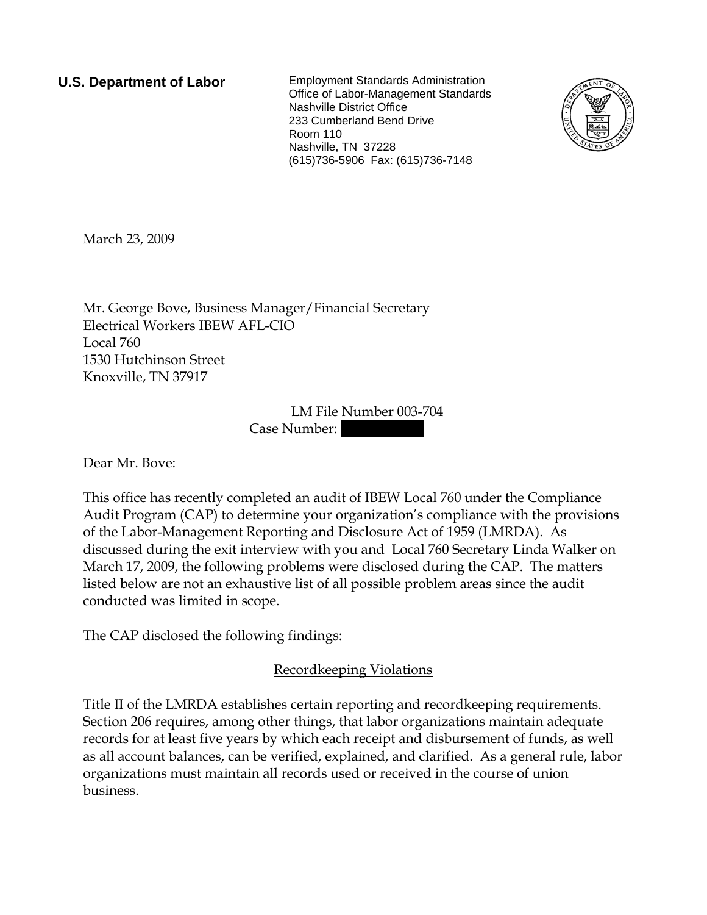**U.S. Department of Labor** Employment Standards Administration Office of Labor-Management Standards Nashville District Office 233 Cumberland Bend Drive Room 110 Nashville, TN 37228 (615)736-5906 Fax: (615)736-7148



March 23, 2009

Mr. George Bove, Business Manager/Financial Secretary Electrical Workers IBEW AFL-CIO Local 760 1530 Hutchinson Street Knoxville, TN 37917

> LM File Number 003-704 Case Number:

Dear Mr. Bove:

This office has recently completed an audit of IBEW Local 760 under the Compliance Audit Program (CAP) to determine your organization's compliance with the provisions of the Labor-Management Reporting and Disclosure Act of 1959 (LMRDA). As discussed during the exit interview with you and Local 760 Secretary Linda Walker on March 17, 2009, the following problems were disclosed during the CAP. The matters listed below are not an exhaustive list of all possible problem areas since the audit conducted was limited in scope.

The CAP disclosed the following findings:

# Recordkeeping Violations

Title II of the LMRDA establishes certain reporting and recordkeeping requirements. Section 206 requires, among other things, that labor organizations maintain adequate records for at least five years by which each receipt and disbursement of funds, as well as all account balances, can be verified, explained, and clarified. As a general rule, labor organizations must maintain all records used or received in the course of union business.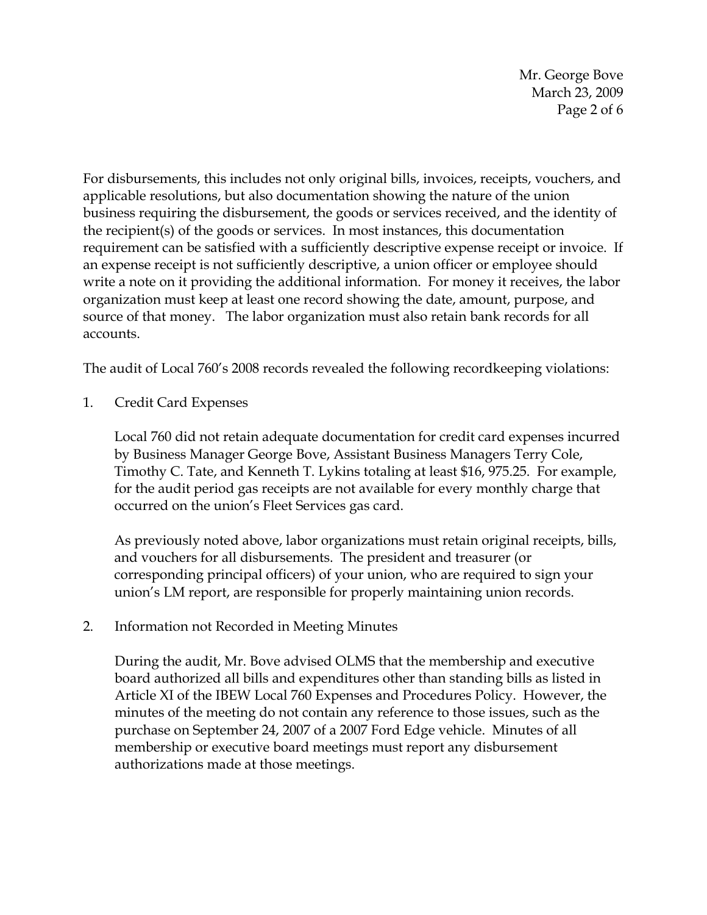Mr. George Bove March 23, 2009 Page 2 of 6

For disbursements, this includes not only original bills, invoices, receipts, vouchers, and applicable resolutions, but also documentation showing the nature of the union business requiring the disbursement, the goods or services received, and the identity of the recipient(s) of the goods or services. In most instances, this documentation requirement can be satisfied with a sufficiently descriptive expense receipt or invoice. If an expense receipt is not sufficiently descriptive, a union officer or employee should write a note on it providing the additional information. For money it receives, the labor organization must keep at least one record showing the date, amount, purpose, and source of that money. The labor organization must also retain bank records for all accounts.

The audit of Local 760's 2008 records revealed the following recordkeeping violations:

1. Credit Card Expenses

Local 760 did not retain adequate documentation for credit card expenses incurred by Business Manager George Bove, Assistant Business Managers Terry Cole, Timothy C. Tate, and Kenneth T. Lykins totaling at least \$16, 975.25. For example, for the audit period gas receipts are not available for every monthly charge that occurred on the union's Fleet Services gas card.

As previously noted above, labor organizations must retain original receipts, bills, and vouchers for all disbursements. The president and treasurer (or corresponding principal officers) of your union, who are required to sign your union's LM report, are responsible for properly maintaining union records.

2. Information not Recorded in Meeting Minutes

During the audit, Mr. Bove advised OLMS that the membership and executive board authorized all bills and expenditures other than standing bills as listed in Article XI of the IBEW Local 760 Expenses and Procedures Policy. However, the minutes of the meeting do not contain any reference to those issues, such as the purchase on September 24, 2007 of a 2007 Ford Edge vehicle. Minutes of all membership or executive board meetings must report any disbursement authorizations made at those meetings.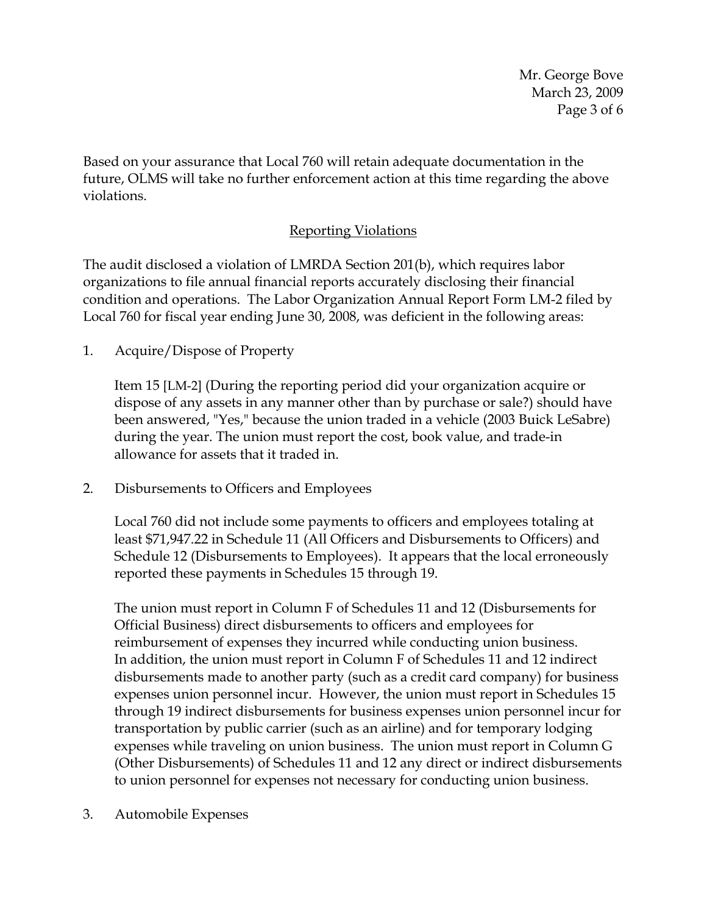Mr. George Bove March 23, 2009 Page 3 of 6

Based on your assurance that Local 760 will retain adequate documentation in the future, OLMS will take no further enforcement action at this time regarding the above violations.

### Reporting Violations

The audit disclosed a violation of LMRDA Section 201(b), which requires labor organizations to file annual financial reports accurately disclosing their financial condition and operations. The Labor Organization Annual Report Form LM-2 filed by Local 760 for fiscal year ending June 30, 2008, was deficient in the following areas:

1. Acquire/Dispose of Property

Item 15 [LM-2] (During the reporting period did your organization acquire or dispose of any assets in any manner other than by purchase or sale?) should have been answered, "Yes," because the union traded in a vehicle (2003 Buick LeSabre) during the year. The union must report the cost, book value, and trade-in allowance for assets that it traded in.

2. Disbursements to Officers and Employees

Local 760 did not include some payments to officers and employees totaling at least \$71,947.22 in Schedule 11 (All Officers and Disbursements to Officers) and Schedule 12 (Disbursements to Employees). It appears that the local erroneously reported these payments in Schedules 15 through 19.

The union must report in Column F of Schedules 11 and 12 (Disbursements for Official Business) direct disbursements to officers and employees for reimbursement of expenses they incurred while conducting union business. In addition, the union must report in Column F of Schedules 11 and 12 indirect disbursements made to another party (such as a credit card company) for business expenses union personnel incur. However, the union must report in Schedules 15 through 19 indirect disbursements for business expenses union personnel incur for transportation by public carrier (such as an airline) and for temporary lodging expenses while traveling on union business. The union must report in Column G (Other Disbursements) of Schedules 11 and 12 any direct or indirect disbursements to union personnel for expenses not necessary for conducting union business.

3. Automobile Expenses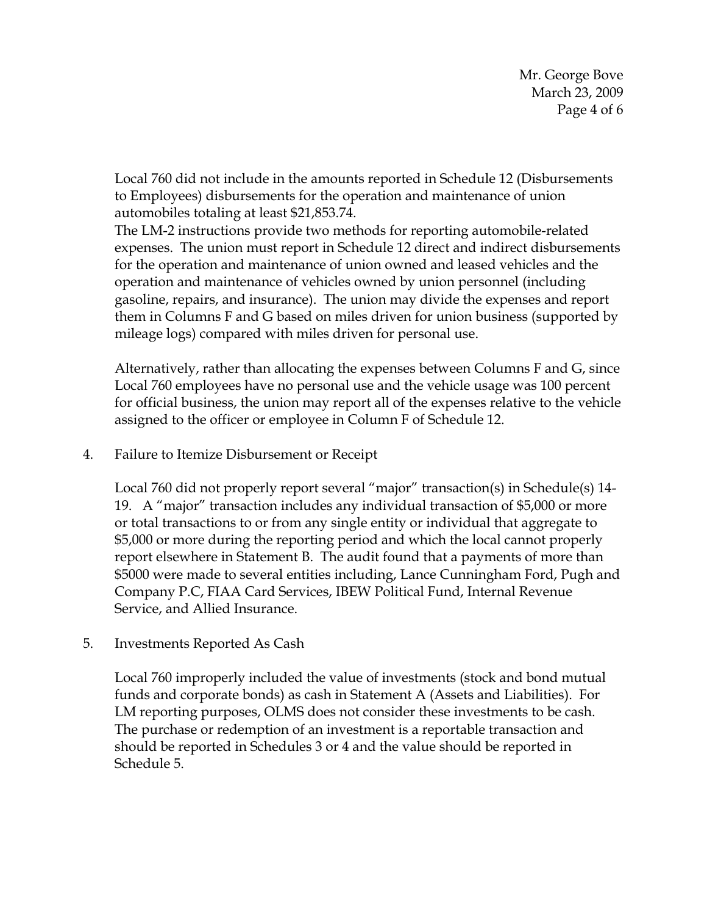Mr. George Bove March 23, 2009 Page 4 of 6

Local 760 did not include in the amounts reported in Schedule 12 (Disbursements to Employees) disbursements for the operation and maintenance of union automobiles totaling at least \$21,853.74.

The LM-2 instructions provide two methods for reporting automobile-related expenses. The union must report in Schedule 12 direct and indirect disbursements for the operation and maintenance of union owned and leased vehicles and the operation and maintenance of vehicles owned by union personnel (including gasoline, repairs, and insurance). The union may divide the expenses and report them in Columns F and G based on miles driven for union business (supported by mileage logs) compared with miles driven for personal use.

Alternatively, rather than allocating the expenses between Columns F and G, since Local 760 employees have no personal use and the vehicle usage was 100 percent for official business, the union may report all of the expenses relative to the vehicle assigned to the officer or employee in Column F of Schedule 12.

#### 4. Failure to Itemize Disbursement or Receipt

Local 760 did not properly report several "major" transaction(s) in Schedule(s) 14- 19. A "major" transaction includes any individual transaction of \$5,000 or more or total transactions to or from any single entity or individual that aggregate to \$5,000 or more during the reporting period and which the local cannot properly report elsewhere in Statement B. The audit found that a payments of more than \$5000 were made to several entities including, Lance Cunningham Ford, Pugh and Company P.C, FIAA Card Services, IBEW Political Fund, Internal Revenue Service, and Allied Insurance.

#### 5. Investments Reported As Cash

Local 760 improperly included the value of investments (stock and bond mutual funds and corporate bonds) as cash in Statement A (Assets and Liabilities). For LM reporting purposes, OLMS does not consider these investments to be cash. The purchase or redemption of an investment is a reportable transaction and should be reported in Schedules 3 or 4 and the value should be reported in Schedule 5.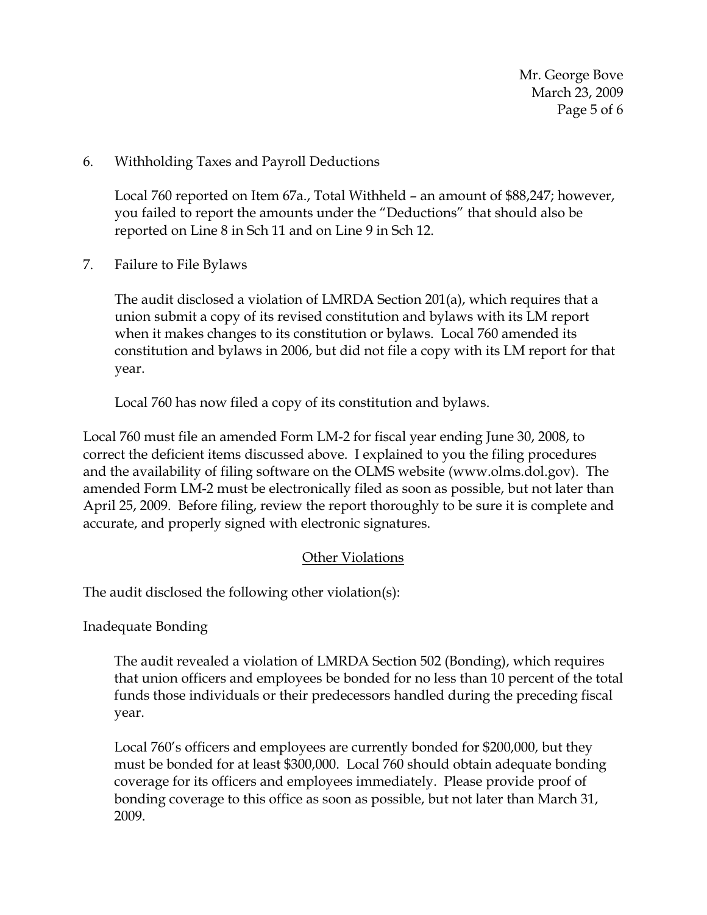Mr. George Bove March 23, 2009 Page 5 of 6

6. Withholding Taxes and Payroll Deductions

Local 760 reported on Item 67a., Total Withheld – an amount of \$88,247; however, you failed to report the amounts under the "Deductions" that should also be reported on Line 8 in Sch 11 and on Line 9 in Sch 12.

7. Failure to File Bylaws

The audit disclosed a violation of LMRDA Section 201(a), which requires that a union submit a copy of its revised constitution and bylaws with its LM report when it makes changes to its constitution or bylaws. Local 760 amended its constitution and bylaws in 2006, but did not file a copy with its LM report for that year.

Local 760 has now filed a copy of its constitution and bylaws.

Local 760 must file an amended Form LM-2 for fiscal year ending June 30, 2008, to correct the deficient items discussed above. I explained to you the filing procedures and the availability of filing software on the OLMS website (www.olms.dol.gov). The amended Form LM-2 must be electronically filed as soon as possible, but not later than April 25, 2009. Before filing, review the report thoroughly to be sure it is complete and accurate, and properly signed with electronic signatures.

# Other Violations

The audit disclosed the following other violation(s):

Inadequate Bonding

The audit revealed a violation of LMRDA Section 502 (Bonding), which requires that union officers and employees be bonded for no less than 10 percent of the total funds those individuals or their predecessors handled during the preceding fiscal year.

Local 760's officers and employees are currently bonded for \$200,000, but they must be bonded for at least \$300,000. Local 760 should obtain adequate bonding coverage for its officers and employees immediately. Please provide proof of bonding coverage to this office as soon as possible, but not later than March 31, 2009.